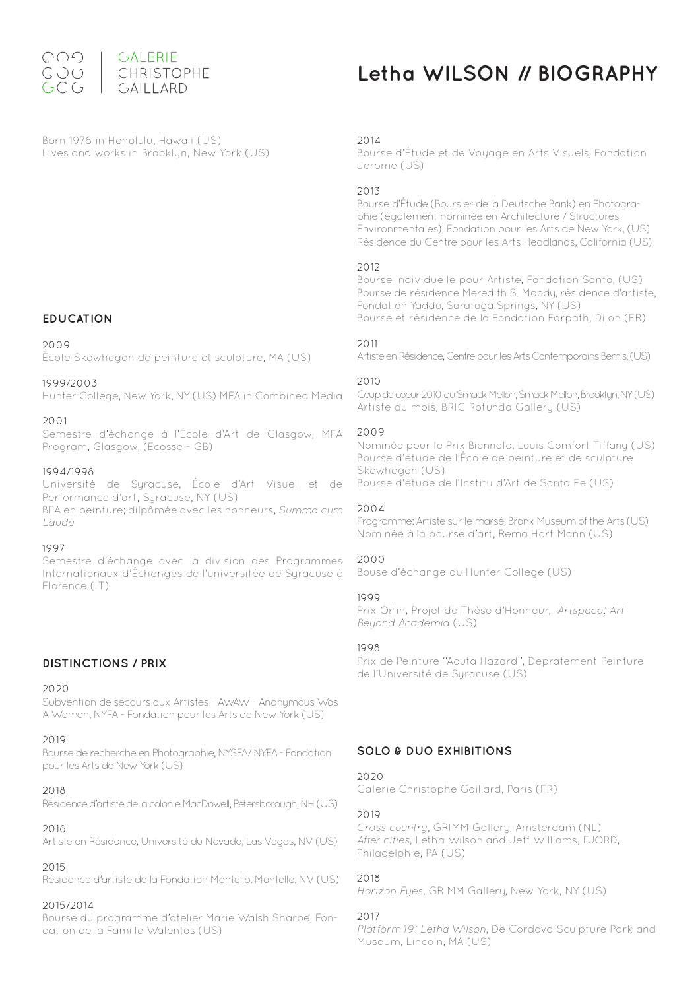

# **Letha WILSON // BIOGRAPHY**

Born 1976 in Honolulu, Hawaii (US) Lives and works in Brooklyn, New York (US)

### **EDUCATION**

#### 2009

École Skowhegan de peinture et sculpture, MA (US)

#### 1999/2003

Hunter College, New York, NY (US) MFA in Combined Media

#### 2001

Semestre d'échange à l'École d'Art de Glasgow, MFA Program, Glasgow, (Ecosse - GB)

#### 1994/1998

Université de Syracuse, École d'Art Visuel et de Performance d'art, Suracuse, NY (US) BFA en peinture; dilpômée avec les honneurs, Summa cum Laude

#### 1997

Semestre d'échange avec la division des Programmes Internationaux d'Échanges de l'universitée de Syracuse à Florence (IT)

# **DISTINCTIONS / PRIX**

# 2020

Subvention de secours aux Artistes - AWAW - Anonymous Was A Woman, NYFA - Fondation pour les Arts de New York (US)

# 2019

Bourse de recherche en Photographie, NYSFA/ NYFA - Fondation pour les Arts de New York (US)

#### $2018$

Résidence d'artiste de la colonie MacDowell, Petersborough, NH (US)

### 2016

Artiste en Résidence, Université du Nevada, Las Vegas, NV (US)

### 2015

Résidence d'artiste de la Fondation Montello, Montello, NV (US)

#### 2015/2014

Bourse du programme d'atelier Marie Walsh Sharpe, Fondation de la Famille Walentas (US)

### 2014

Bourse d'Étude et de Voyage en Arts Visuels, Fondation Jerome (US)

#### 2013

Bourse d'Étude (Boursier de la Deutsche Bank) en Photographie (également nominée en Architecture / Structures Environmentales), Fondation pour les Arts de New York, (US) Résidence du Centre pour les Arts Headlands, California (US)

### 2012

Bourse individuelle pour Artiste, Fondation Santo, (US) Bourse de résidence Meredith S. Moody, résidence d'artiste, Fondation Yaddo, Saratoga Springs, NY (US) Bourse et résidence de la Fondation Farpath, Dijon (FR)

### 2011

Artiste en Résidence, Centre pour les Arts Contemporains Bemis, (US)

### $2010$

Coup de coeur 2010 du Smack Mellon, Smack Mellon, Brooklyn, NY (US) Artiste du mois, BRIC Rotunda Gallery (US)

#### 2009

Nominée pour le Prix Biennale, Louis Comfort Tiffany (US) Bourse d'étude de l'École de peinture et de sculpture Skowhegan (US) Bourse d'étude de l'Institu d'Art de Santa Fe (US)

#### 2004

Programme: Artiste sur le marsé, Bronx Museum of the Arts (US) Nominée à la bourse d'art, Rema Hort Mann (US)

#### 2000

Bouse d'échange du Hunter College (US)

### 1999

Prix Orlin, Projet de Thèse d'Honneur, Artspace: Art Beyond Academia (US)

#### 1998

Prix de Peinture ''Aouta Hazard'', Depratement Peinture de l'Université de Suracuse (US)

# **SOLO & DUO EXHIBITIONS**

#### 2020

Galerie Christophe Gaillard, Paris (FR)

### 2019

Cross country, GRIMM Gallery, Amsterdam (NL) After cities, Letha Wilson and Jeff Williams, FJORD, Philadelphie, PA (US)

#### 2018

Horizon Eyes, GRIMM Gallery, New York, NY (US)

### 2017

Platform 19: Letha Wilson, De Cordova Sculpture Park and Museum, Lincoln, MA (US)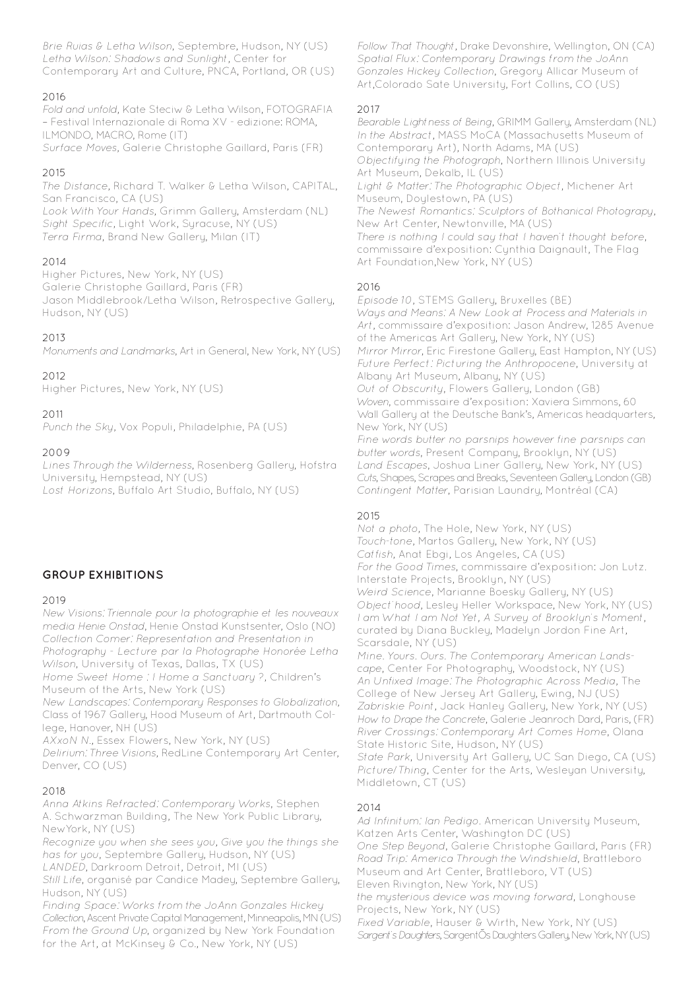Brie Ruias & Letha Wilson, Septembre, Hudson, NY (US) Letha Wilson: Shadows and Sunlight, Center for Contemporary Art and Culture, PNCA, Portland, OR (US)

# 2016

Fold and unfold, Kate Steciw & Letha Wilson, FOTOGRAFIA – Festival Internazionale di Roma XV - edizione: ROMA, ILMONDO, MACRO, Rome (IT) Surface Moves, Galerie Christophe Gaillard, Paris (FR)

# 2015

The Distance, Richard T. Walker & Letha Wilson, CAPITAL, San Francisco, CA (US) Look With Your Hands, Grimm Gallery, Amsterdam (NL) Sight Specific, Light Work, Syracuse, NY (US) Terra Firma, Brand New Gallery, Milan (IT)

# $2014$

Higher Pictures, New York, NY (US) Galerie Christophe Gaillard, Paris (FR) Jason Middlebrook/Letha Wilson, Retrospective Gallery, Hudson, NY (US)

# 2013

Monuments and Landmarks, Art in General, New York, NY (US)

# 2012

Higher Pictures, New York, NY (US)

# 2011

Punch the Sky, Vox Populi, Philadelphie, PA (US)

# 2009

Lines Through the Wilderness, Rosenberg Gallery, Hofstra University, Hempstead, NY (US) Lost Horizons, Buffalo Art Studio, Buffalo, NY (US)

# **GROUP EXHIBITIONS**

# 2019

New Visions: Triennale pour la photographie et les nouveaux media Henie Onstad, Henie Onstad Kunstsenter, Oslo (NO) Collection Comer: Representation and Presentation in Photography - Lecture par la Photographe Honorée Letha Wilson, University of Texas, Dallas, TX (US) Home Sweet Home : I Home a Sanctuary ?, Children's

Museum of the Arts, New York (US) New Landscapes: Contemporary Responses to Globalization, Class of 1967 Gallery, Hood Museum of Art, Dartmouth College, Hanover, NH (US)

AXxoN N., Essex Flowers, New York, NY (US)

Delirium: Three Visions, RedLine Contemporary Art Center, Denver, CO (US)

# 2018

Anna Atkins Refracted: Contemporary Works, Stephen A. Schwarzman Building, The New York Public Library, NewYork, NY (US)

Recognize you when she sees you, Give you the things she has for you, Septembre Gallery, Hudson, NY (US) LANDED, Darkroom Detroit, Detroit, MI (US)

Still Life, organisé par Candice Madey, Septembre Gallery, Hudson, NY (US)

Finding Space: Works from the JoAnn Gonzales Hickey Collection, Ascent Private Capital Management, Minneapolis, MN (US) From the Ground Up, organized by New York Foundation for the Art, at McKinsey & Co., New York, NY (US)

Follow That Thought, Drake Devonshire, Wellington, ON (CA) Spatial Flux: Contemporary Drawings from the JoAnn Gonzales Hickey Collection, Gregory Allicar Museum of Art,Colorado Sate University, Fort Collins, CO (US)

# 2017

Bearable Lightness of Being, GRIMM Gallery, Amsterdam (NL) In the Abstract, MASS MoCA (Massachusetts Museum of Contemporary Art), North Adams, MA (US) Objectifying the Photograph, Northern Illinois University Art Museum, Dekalb, IL (US) Light & Matter: The Photographic Object, Michener Art Museum, Doylestown, PA (US) The Newest Romantics: Sculptors of Bothanical Photograpy, New Art Center, Newtonville, MA (US) There is nothing I could say that I haven't thought before, commissaire d'exposition: Cynthia Daignault, The Flag Art Foundation,New York, NY (US)

# 2016

Episode 10, STEMS Gallery, Bruxelles (BE) Ways and Means: A New Look at Process and Materials in Art, commissaire d'exposition: Jason Andrew, 1285 Avenue of the Americas Art Gallery, New York, NY (US) Mirror Mirror, Eric Firestone Gallery, East Hampton, NY (US) Future Perfect: Picturing the Anthropocene, University at Albany Art Museum, Albany, NY (US) Out of Obscurity, Flowers Gallery, London (GB) Woven, commissaire d'exposition: Xaviera Simmons, 60 Wall Gallery at the Deutsche Bank's, Americas headquarters, New York, NY (US) Fine words butter no parsnips however fine parsnips can butter words, Present Company, Brooklyn, NY (US) Land Escapes, Joshua Liner Gallery, New York, NY (US) Cuts, Shapes, Scrapes and Breaks, Seventeen Gallery, London (GB) Contingent Matter, Parisian Laundry, Montréal (CA)

# 2015

Not a photo, The Hole, New York, NY (US) Touch-tone, Martos Gallery, New York, NY (US) Catfish, Anat Ebgi, Los Angeles, CA (US) For the Good Times, commissaire d'exposition: Jon Lutz. Interstate Projects, Brooklyn, NY (US) Weird Science, Marianne Boesky Gallery, NY (US) Object'hood, Lesley Heller Workspace, New York, NY (US) I am What I am Not Yet, A Survey of Brooklyn's Moment, curated by Diana Buckley, Madelyn Jordon Fine Art, Scarsdale, NY (US) Mine. Yours. Ours. The Contemporary American Lands-

cape, Center For Photography, Woodstock, NY (US) An Unfixed Image: The Photographic Across Media, The College of New Jersey Art Gallery, Ewing, NJ (US) Zabriskie Point, Jack Hanley Gallery, New York, NY (US) How to Drape the Concrete, Galerie Jeanroch Dard, Paris, (FR) River Crossings: Contemporary Art Comes Home, Olana State Historic Site, Hudson, NY (US) State Park, University Art Gallery, UC San Diego, CA (US) Picture/Thing, Center for the Arts, Wesleyan University, Middletown, CT (US)

# 2014

Ad Infinitum: Ian Pedigo. American University Museum, Katzen Arts Center, Washington DC (US) One Step Beyond, Galerie Christophe Gaillard, Paris (FR) Road Trip: America Through the Windshield, Brattleboro Museum and Art Center, Brattleboro, VT (US) Eleven Rivington, New York, NY (US) the mysterious device was moving forward, Longhouse Projects, New York, NY (US) Fixed Variable, Hauser & Wirth, New York, NY (US) Sargent's Daughters, SargentÕs Daughters Gallery, New York, NY (US)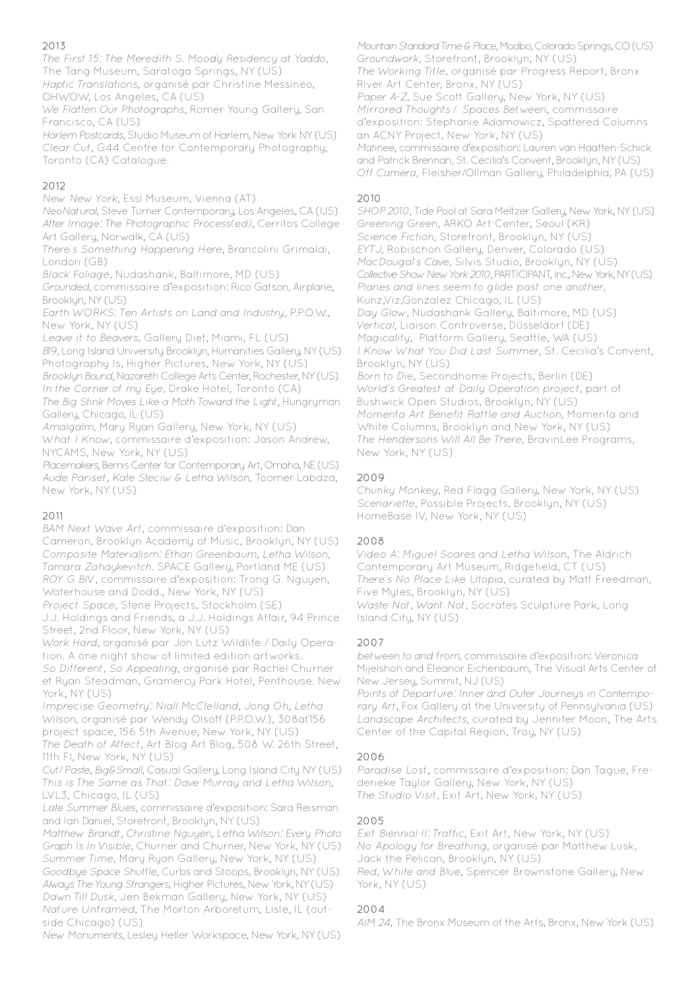# 2013

The First 15: The Meredith S. Moody Residency at Yaddo, The Tang Museum, Saratoga Springs, NY (US)

Haptic Translations, organisé par Christine Messineo, OHWOW, Los Angeles, CA (US)

We Flatten Our Photographs, Romer Young Gallery, San Francisco, CA (US)

Harlem Postcards, Studio Museum of Harlem, New York NY (US) Clear Cut, G44 Centre for Contemporary Photography, Toronto (CA) Catalogue.

# 2012

New New York, Essl Museum, Vienna (AT)

NeoNatural, Steve Turner Contemporary, Los Angeles, CA (US) After Image: The Photographic Process(ed), Cerritos College Art Gallery, Norwalk, CA (US)

There's Something Happening Here, Brancolini Grimaldi, London (GB)

Black Foliage, Nudashank, Baltimore, MD (US)

Grounded, commissaire d'exposition: Rico Gatson, Airplane, Brooklyn, NY (US)

Earth WORKS: Ten Artists on Land and Industry, P.P.O.W., New York, NY (US)

Leave it to Beavers, Gallery Diet, Miami, FL (US)

B19, Long Island University Brooklyn, Humanities Gallery, NY (US) Photography Is, Higher Pictures, New York, NY (US)

Brooklyn Bound, Nazareth College Arts Center, Rochester, NY (US) In the Corner of my Eye, Drake Hotel, Toronto (CA)

The Big Stink Moves Like a Moth Toward the Light, Hungryman Gallery, Chicago, IL (US)

Amalgalm, Mary Ryan Gallery, New York, NY (US)

What I Know, commissaire d'exposition: Jason Andrew, NYCAMS, New York, NY (US)

Placemakers, Bemis Center for Contemporary Art, Omaha, NE (US) Aude Pariset, Kate Steciw & Letha Wilson, Toomer Labdza, New York, NY (US)

# 2011

BAM Next Wave Art, commissaire d'exposition: Dan Cameron, Brooklyn Academy of Music, Brooklyn, NY (US) Composite Materialism: Ethan Greenbaum, Letha Wilson, Tamara Zahaykevitch. SPACE Gallery, Portland ME (US) ROY G BIV, commissaire d'exposition: Trong G. Nguyen, Waterhouse and Dodd., New York, NY (US)

Project Space, Stene Projects, Stockholm (SE) J.J. Holdings and Friends, a J.J. Holdings Affair, 94 Prince

Street, 2nd Floor, New York, NY (US)

Work Hard, organisé par Jon Lutz Wildlife / Daily Operation. A one night show of limited edition artworks. So Different, So Appealing, organisé par Rachel Churner et Ryan Steadman, Gramercy Park Hotel, Penthouse. New York, NY (US)

Imprecise Geometry: Niall McClelland, Jong Oh, Letha Wilson, organisé par Wendy Olsoff (P.P.O.W.), 308at156 project space, 156 5th Avenue, New York, NY (US) The Death of Affect, Art Blog Art Blog, 508 W. 26th Street, 11th Fl, New York, NY (US)

Cut/Paste, Big&Small, Casual Gallery, Long Island City NY (US) This is The Same as That: Dave Murray and Letha Wilson, LVL3, Chicago, IL (US)

Late Summer Blues, commissaire d'exposition: Sara Reisman and Ian Daniel, Storefront, Brooklyn, NY (US)

Matthew Brandt, Christine Nguyen, Letha Wilson: Every Photo Graph Is In Visible, Churner and Churner, New York, NY (US) Summer Time, Mary Ryan Gallery, New York, NY (US) Goodbye Space Shuttle, Curbs and Stoops, Brooklyn, NY (US) Always The Young Strangers, Higher Pictures, New York, NY (US) Dawn Till Dusk, Jen Bekman Gallery, New York, NY (US) Nature Unframed, The Morton Arboretum, Lisle, IL (outside Chicago) (US)

New Monuments, Lesley Heller Workspace, New York, NY (US)

Mountain Standard Time & Place, Modbo, Colorado Springs, CO (US) Groundwork, Storefront, Brooklyn, NY (US) The Working Title, organisé par Progress Report, Bronx River Art Center, Bronx, NY (US) Paper A-Z, Sue Scott Gallery, New York, NY (US) Mirrored Thoughts / Spaces Between, commissaire d'exposition: Stephanie Adamowicz, Spattered Columns an ACNY Project, New York, NY (US) Matinee, commissaire d'exposition: Lauren van Haaften-Schick and Patrick Brennan, St. Cecilia's Convent, Brooklyn, NY (US) Off Camera, Fleisher/Ollman Gallery, Philadelphia, PA (US)

# 2010

SHOP 2010, Tide Pool at Sara Meltzer Gallery, New York, NY (US) Greening Green, ARKO Art Center, Seoul (KR) Science Fiction, Storefront, Brooklyn, NY (US) EYTJ, Robischon Gallery, Denver, Colorado (US) MacDougal's Cave, Silvis Studio, Brooklyn, NY (US) Collective Show New York 2010, PARTICIPANT, Inc., New York, NY (US) Planes and lines seem to glide past one another, Kunz,Viz,Gonzalez Chicago, IL (US) Day Glow, Nudashank Gallery, Baltimore, MD (US) Vertical, Liaison Controverse, Düsseldorf (DE) Magicality, Platform Gallery, Seattle, WA (US) I Know What You Did Last Summer, St. Cecilia's Convent, Brooklyn, NY (US) Born to Die, Secondhome Projects, Berlin (DE) World's Greatest at Daily Operation project, part of Bushwick Open Studios, Brooklyn, NY (US) Momenta Art Benefit Raffle and Auction, Momenta and White Columns, Brooklyn and New York, NY (US) The Hendersons Will All Be There, BravinLee Programs, New York, NY (US)

# 2009

Chunky Monkey, Red Flagg Gallery, New York, NY (US) Scenariette, Possible Projects, Brooklyn, NY (US) HomeBase IV, New York, NY (US)

# 2008

Video A: Miguel Soares and Letha Wilson, The Aldrich Contemporary Art Museum, Ridgefield, CT (US) There's No Place Like Utopia, curated by Matt Freedman, Five Myles, Brooklyn, NY (US) Waste Not, Want Not, Socrates Sculpture Park, Long Island City, NY (US)

### 2007

between to and from, commissaire d'exposition: Veronica Mijelshon and Eleanor Eichenbaum, The Visual Arts Center of New Jersey, Summit, NJ (US)

Points of Departure: Inner and Outer Journeys in Contemporary Art, Fox Gallery at the University of Pennsylvania (US) Landscape Architects, curated by Jennifer Moon, The Arts Center of the Capital Region, Troy, NY (US)

# 2006

Paradise Lost, commissaire d'exposition: Dan Tague, Frederieke Taylor Gallery, New York, NY (US) The Studio Visit, Exit Art, New York, NY (US)

# 2005

Exit Biennial II: Traffic, Exit Art, New York, NY (US) No Apology for Breathing, organisé par Matthew Lusk, Jack the Pelican, Brooklyn, NY (US) Red, White and Blue, Spencer Brownstone Gallery, New York, NY (US)

# 2004

AIM 24, The Bronx Museum of the Arts, Bronx, New York (US)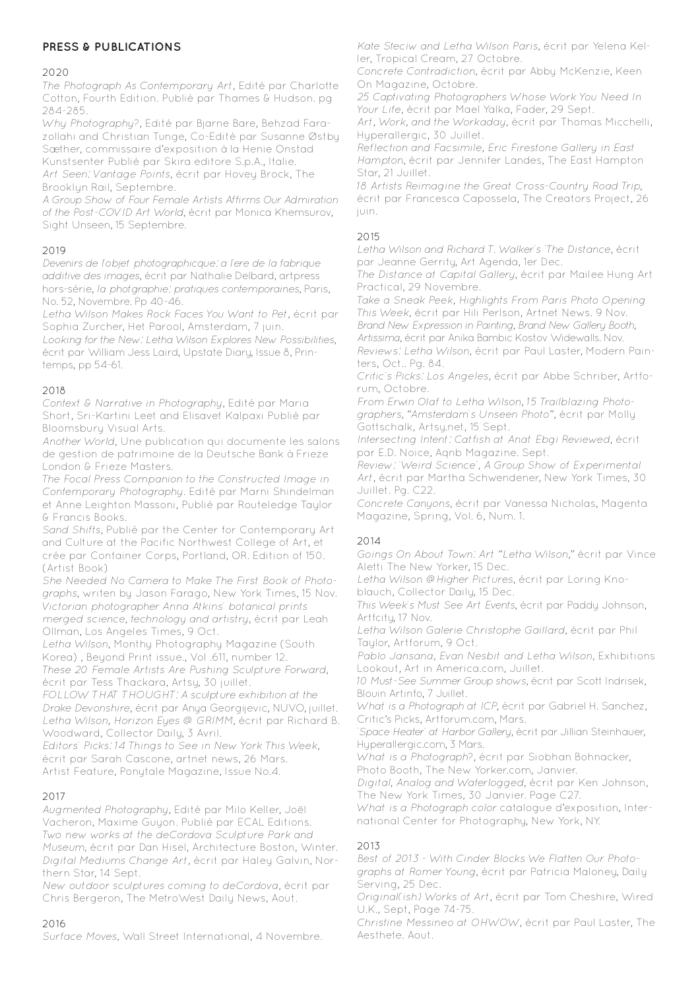# **PRESS & PUBLICATIONS**

### 2020

The Photograph As Contemporary Art, Edité par Charlotte Cotton, Fourth Edition. Publié par Thames & Hudson. pg 284-285.

Why Photography?, Edité par Bjarne Bare, Behzad Farazollahi and Christian Tunge, Co-Edité par Susanne Østby Sæther, commissaire d'exposition à la Henie Onstad Kunstsenter Publié par Skira editore S.p.A., Italie. Art Seen: Vantage Points, écrit par Hovey Brock, The Brooklyn Rail, Septembre.

A Group Show of Four Female Artists Affirms Our Admiration of the Post-COVID Art World, écrit par Monica Khemsurov, Sight Unseen, 15 Septembre.

### 2019

Devenirs de l'objet photographicque: a l'ere de la fabrique additive des images, écrit par Nathalie Delbard, artpress hors-série, la photgraphie: pratiques contemporaines, Paris, No. 52, Novembre. Pp 40-46.

Letha Wilson Makes Rock Faces You Want to Pet, écrit par Sophia Zurcher, Het Parool, Amsterdam, 7 juin.

Looking for the New: Letha Wilson Explores New Possibilities, écrit par William Jess Laird, Upstate Diary, Issue 8, Printemps, pp 54-61.

### 2018

Context & Narrative in Photography, Edité par Maria Short, Sri-Kartini Leet and Elisavet Kalpaxi Publié par Bloomsbury Visual Arts.

Another World, Une publication qui documente les salons de gestion de patrimoine de la Deutsche Bank à Frieze London & Frieze Masters.

The Focal Press Companion to the Constructed Image in Contemporary Photography. Edité par Marni Shindelman et Anne Leighton Massoni, Publié par Routeledge Taylor & Francis Books.

Sand Shifts, Publié par the Center for Contemporary Art and Culture at the Pacific Northwest College of Art, et crée par Container Corps, Portland, OR. Edition of 150. (Artist Book)

She Needed No Camera to Make The First Book of Photographs, writen by Jason Farago, New York Times, 15 Nov. Victorian photographer Anna Atkins' botanical prints merged science, technology and artistry, écrit par Leah Ollman, Los Angeles Times, 9 Oct.

Letha Wilson, Monthy Photography Magazine (South Korea) , Beyond Print issue., Vol .611, number 12.

These 20 Female Artists Are Pushing Sculpture Forward, écrit par Tess Thackara, Artsy, 30 juillet.

FOLLOW THAT THOUGHT: A sculpture exhibition at the Drake Devonshire, écrit par Anya Georgijevic, NUVO, juillet. Letha Wilson, Horizon Eyes @ GRIMM, écrit par Richard B. Woodward, Collector Daily, 3 Avril.

Editors' Picks: 14 Things to See in New York This Week, écrit par Sarah Cascone, artnet news, 26 Mars. Artist Feature, Ponytale Magazine, Issue No.4.

### 2017

Augmented Photography, Edité par Milo Keller, Joël Vacheron, Maxime Guyon. Publié par ECAL Editions. Two new works at the deCordova Sculpture Park and Museum, écrit par Dan Hisel, Architecture Boston, Winter. Digital Mediums Change Art, écrit par Haley Galvin, Northern Star, 14 Sept.

New outdoor sculptures coming to deCordova, écrit par Chris Bergeron, The MetroWest Daily News, Aout.

### 2016

Surface Moves, Wall Street International, 4 Novembre.

Kate Steciw and Letha Wilson Paris, écrit par Yelena Keller, Tropical Cream, 27 Octobre.

Concrete Contradiction, écrit par Abby McKenzie, Keen On Magazine, Octobre.

25 Captivating Photographers Whose Work You Need In Your Life, écrit par Mael Yalka, Fader, 29 Sept.

Art, Work, and the Workaday, écrit par Thomas Micchelli, Hyperallergic, 30 Juillet.

Reflection and Facsimile, Eric Firestone Gallery in East Hampton, écrit par Jennifer Landes, The East Hampton Star, 21 Juillet.

18 Artists Reimagine the Great Cross-Country Road Trip, écrit par Francesca Capossela, The Creators Project, 26 juin.

# 2015

Letha Wilson and Richard T. Walker's 'The Distance, écrit par Jeanne Gerrity, Art Agenda, 1er Dec.

The Distance at Capital Gallery, écrit par Mailee Hung Art Practical, 29 Novembre.

Take a Sneak Peek, Highlights From Paris Photo Opening This Week, écrit par Hili Perlson, Artnet News. 9 Nov. Brand New Expression in Painting, Brand New Gallery Booth, Artissima, écrit par Anika Bambic Kostov Widewalls. Nov. Reviews: Letha Wilson, écrit par Paul Laster, Modern Painters, Oct.. Pg. 84.

Critic's Picks: Los Angeles, écrit par Abbe Schriber, Artforum, Octobre.

From Erwin Olaf to Letha Wilson, 15 Trailblazing Photographers, "Amsterdam's Unseen Photo", écrit par Molly Gottschalk, Artsy.net, 15 Sept.

Intersecting Intent: Catfish at Anat Ebgi Reviewed, écrit par E.D. Noice, Aqnb Magazine. Sept.

Review: 'Weird Science', A Group Show of Experimental Art, écrit par Martha Schwendener, New York Times, 30 Juillet. Pg. C22.

Concrete Canyons, écrit par Vanessa Nicholas, Magenta Magazine, Spring, Vol. 6, Num. 1.

# 2014

Goings On About Town: Art "Letha Wilson," écrit par Vince Aletti The New Yorker, 15 Dec.

Letha Wilson @Higher Pictures, écrit par Loring Knoblauch, Collector Daily, 15 Dec.

This Week's Must See Art Events, écrit par Paddy Johnson, Artfcity, 17 Nov.

Letha Wilson Galerie Christophe Gaillard, écrit par Phil Taylor, Artforum, 9 Oct.

Pablo Jansana, Evan Nesbit and Letha Wilson, Exhibitions Lookout, Art in America.com, Juillet.

10 Must-See Summer Group shows, écrit par Scott Indrisek, Blouin Artinfo, 7 Juillet.

What is a Photograph at ICP, écrit par Gabriel H. Sanchez, Critic's Picks, Artforum.com, Mars.

'Space Heater' at Harbor Gallery, écrit par Jillian Steinhauer, Hyperallergic.com, 3 Mars.

What is a Photograph?, écrit par Siobhan Bohnacker, Photo Booth, The New Yorker.com, Janvier.

Digital, Analog and Waterlogged, écrit par Ken Johnson, The New York Times, 30 Janvier. Page C27.

What is a Photograph color catalogue d'exposition, International Center for Photography, New York, NY.

### $2013$

Best of 2013 - With Cinder Blocks We Flatten Our Photographs at Romer Young, écrit par Patricia Maloney, Daily Serving, 25 Dec.

Original(ish) Works of Art, écrit par Tom Cheshire, Wired U.K., Sept, Page 74-75.

Christine Messineo at OHWOW, écrit par Paul Laster, The Aesthete. Aout.